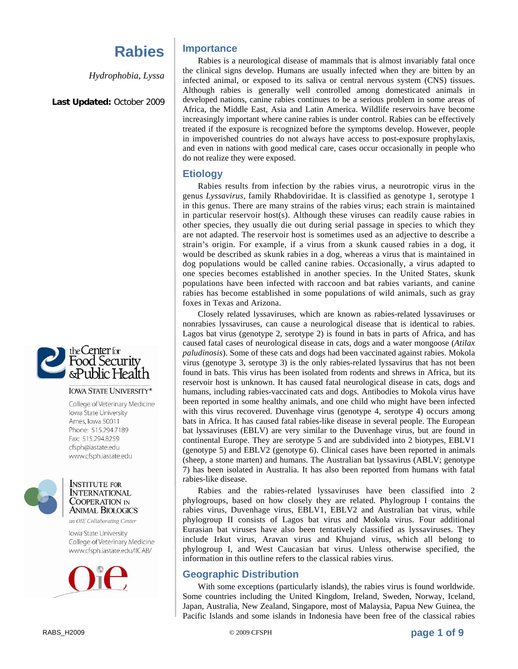*Hydrophobia, Lyssa* 

**Last Updated:** October 2009



#### **IOWA STATE UNIVERSITY®**

College of Veterinary Medicine Iowa State University Ames, Iowa 50011 Phone: 515.294.7189 Fax: 515.294.8259 cfsph@iastate.edu www.cfsph.iastate.edu



**INSTITUTE FOR INTERNATIONAL COOPERATION IN ANIMAL BIOLOGICS** 

an OIE Collaborating Center

Iowa State University College of Veterinary Medicine www.cfsph.iastate.edu/IICAB/



### **Importance**

Rabies is a neurological disease of mammals that is almost invariably fatal once the clinical signs develop. Humans are usually infected when they are bitten by an infected animal, or exposed to its saliva or central nervous system (CNS) tissues. Although rabies is generally well controlled among domesticated animals in developed nations, canine rabies continues to be a serious problem in some areas of Africa, the Middle East, Asia and Latin America. Wildlife reservoirs have become increasingly important where canine rabies is under control. Rabies can be effectively treated if the exposure is recognized before the symptoms develop. However, people in impoverished countries do not always have access to post-exposure prophylaxis, and even in nations with good medical care, cases occur occasionally in people who do not realize they were exposed.

#### **Etiology**

Rabies results from infection by the rabies virus, a neurotropic virus in the genus *Lyssavirus*, family Rhabdoviridae. It is classified as genotype 1, serotype 1 in this genus. There are many strains of the rabies virus; each strain is maintained in particular reservoir host(s). Although these viruses can readily cause rabies in other species, they usually die out during serial passage in species to which they are not adapted. The reservoir host is sometimes used as an adjective to describe a strain's origin. For example, if a virus from a skunk caused rabies in a dog, it would be described as skunk rabies in a dog, whereas a virus that is maintained in dog populations would be called canine rabies. Occasionally, a virus adapted to one species becomes established in another species. In the United States, skunk populations have been infected with raccoon and bat rabies variants, and canine rabies has become established in some populations of wild animals, such as gray foxes in Texas and Arizona.

Closely related lyssaviruses, which are known as rabies-related lyssaviruses or nonrabies lyssaviruses, can cause a neurological disease that is identical to rabies. Lagos bat virus (genotype 2, serotype 2) is found in bats in parts of Africa, and has caused fatal cases of neurological disease in cats, dogs and a water mongoose (*Atilax paludinosis*). Some of these cats and dogs had been vaccinated against rabies. Mokola virus (genotype 3, serotype 3) is the only rabies-related lyssavirus that has not been found in bats. This virus has been isolated from rodents and shrews in Africa, but its reservoir host is unknown. It has caused fatal neurological disease in cats, dogs and humans, including rabies-vaccinated cats and dogs. Antibodies to Mokola virus have been reported in some healthy animals, and one child who might have been infected with this virus recovered. Duvenhage virus (genotype 4, serotype 4) occurs among bats in Africa. It has caused fatal rabies-like disease in several people. The European bat lyssaviruses (EBLV) are very similar to the Duvenhage virus, but are found in continental Europe. They are serotype 5 and are subdivided into 2 biotypes, EBLV1 (genotype 5) and EBLV2 (genotype 6). Clinical cases have been reported in animals (sheep, a stone marten) and humans. The Australian bat lyssavirus (ABLV; genotype 7) has been isolated in Australia. It has also been reported from humans with fatal rabies-like disease.

Rabies and the rabies-related lyssaviruses have been classified into 2 phylogroups, based on how closely they are related. Phylogroup I contains the rabies virus, Duvenhage virus, EBLV1, EBLV2 and Australian bat virus, while phylogroup II consists of Lagos bat virus and Mokola virus. Four additional Eurasian bat viruses have also been tentatively classified as lyssaviruses. They include Irkut virus, Aravan virus and Khujand virus, which all belong to phylogroup I, and West Caucasian bat virus. Unless otherwise specified, the information in this outline refers to the classical rabies virus.

## **Geographic Distribution**

With some exceptions (particularly islands), the rabies virus is found worldwide. Some countries including the United Kingdom, Ireland, Sweden, Norway, Iceland, Japan, Australia, New Zealand, Singapore, most of Malaysia, Papua New Guinea, the Pacific Islands and some islands in Indonesia have been free of the classical rabies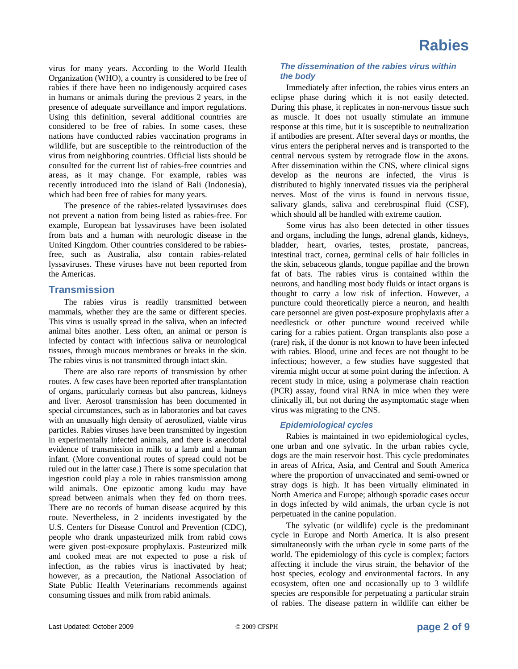virus for many years. According to the World Health Organization (WHO), a country is considered to be free of rabies if there have been no indigenously acquired cases in humans or animals during the previous 2 years, in the presence of adequate surveillance and import regulations. Using this definition, several additional countries are considered to be free of rabies. In some cases, these nations have conducted rabies vaccination programs in wildlife, but are susceptible to the reintroduction of the virus from neighboring countries. Official lists should be consulted for the current list of rabies-free countries and areas, as it may change. For example, rabies was recently introduced into the island of Bali (Indonesia), which had been free of rabies for many years.

The presence of the rabies-related lyssaviruses does not prevent a nation from being listed as rabies-free. For example, European bat lyssaviruses have been isolated from bats and a human with neurologic disease in the United Kingdom. Other countries considered to be rabiesfree, such as Australia, also contain rabies-related lyssaviruses. These viruses have not been reported from the Americas.

#### **Transmission**

The rabies virus is readily transmitted between mammals, whether they are the same or different species. This virus is usually spread in the saliva, when an infected animal bites another. Less often, an animal or person is infected by contact with infectious saliva or neurological tissues, through mucous membranes or breaks in the skin. The rabies virus is not transmitted through intact skin.

There are also rare reports of transmission by other routes. A few cases have been reported after transplantation of organs, particularly corneas but also pancreas, kidneys and liver. Aerosol transmission has been documented in special circumstances, such as in laboratories and bat caves with an unusually high density of aerosolized, viable virus particles. Rabies viruses have been transmitted by ingestion in experimentally infected animals, and there is anecdotal evidence of transmission in milk to a lamb and a human infant. (More conventional routes of spread could not be ruled out in the latter case.) There is some speculation that ingestion could play a role in rabies transmission among wild animals. One epizootic among kudu may have spread between animals when they fed on thorn trees. There are no records of human disease acquired by this route. Nevertheless, in 2 incidents investigated by the U.S. Centers for Disease Control and Prevention (CDC), people who drank unpasteurized milk from rabid cows were given post-exposure prophylaxis. Pasteurized milk and cooked meat are not expected to pose a risk of infection, as the rabies virus is inactivated by heat; however, as a precaution, the National Association of State Public Health Veterinarians recommends against consuming tissues and milk from rabid animals.

#### *The dissemination of the rabies virus within the body*

Immediately after infection, the rabies virus enters an eclipse phase during which it is not easily detected. During this phase, it replicates in non-nervous tissue such as muscle. It does not usually stimulate an immune response at this time, but it is susceptible to neutralization if antibodies are present. After several days or months, the virus enters the peripheral nerves and is transported to the central nervous system by retrograde flow in the axons. After dissemination within the CNS, where clinical signs develop as the neurons are infected, the virus is distributed to highly innervated tissues via the peripheral nerves. Most of the virus is found in nervous tissue, salivary glands, saliva and cerebrospinal fluid (CSF), which should all be handled with extreme caution.

Some virus has also been detected in other tissues and organs, including the lungs, adrenal glands, kidneys, bladder, heart, ovaries, testes, prostate, pancreas, intestinal tract, cornea, germinal cells of hair follicles in the skin, sebaceous glands, tongue papillae and the brown fat of bats. The rabies virus is contained within the neurons, and handling most body fluids or intact organs is thought to carry a low risk of infection. However, a puncture could theoretically pierce a neuron, and health care personnel are given post-exposure prophylaxis after a needlestick or other puncture wound received while caring for a rabies patient. Organ transplants also pose a (rare) risk, if the donor is not known to have been infected with rabies. Blood, urine and feces are not thought to be infectious; however, a few studies have suggested that viremia might occur at some point during the infection. A recent study in mice, using a polymerase chain reaction (PCR) assay, found viral RNA in mice when they were clinically ill, but not during the asymptomatic stage when virus was migrating to the CNS.

#### *Epidemiological cycles*

Rabies is maintained in two epidemiological cycles, one urban and one sylvatic. In the urban rabies cycle, dogs are the main reservoir host. This cycle predominates in areas of Africa, Asia, and Central and South America where the proportion of unvaccinated and semi-owned or stray dogs is high. It has been virtually eliminated in North America and Europe; although sporadic cases occur in dogs infected by wild animals, the urban cycle is not perpetuated in the canine population.

The sylvatic (or wildlife) cycle is the predominant cycle in Europe and North America. It is also present simultaneously with the urban cycle in some parts of the world. The epidemiology of this cycle is complex; factors affecting it include the virus strain, the behavior of the host species, ecology and environmental factors. In any ecosystem, often one and occasionally up to 3 wildlife species are responsible for perpetuating a particular strain of rabies. The disease pattern in wildlife can either be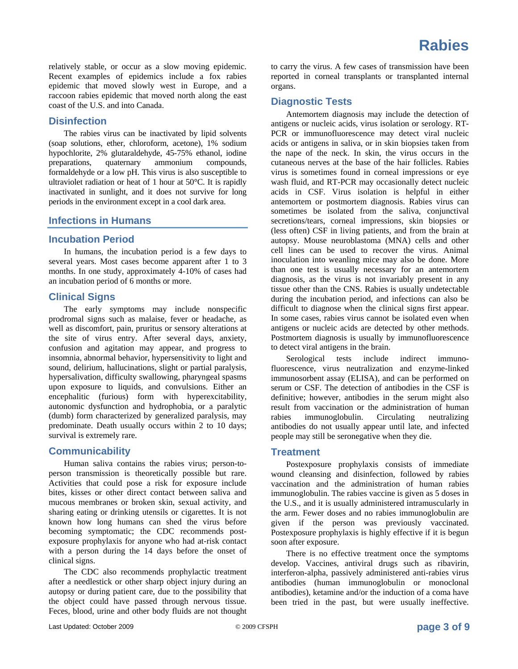relatively stable, or occur as a slow moving epidemic. Recent examples of epidemics include a fox rabies epidemic that moved slowly west in Europe, and a raccoon rabies epidemic that moved north along the east coast of the U.S. and into Canada.

### **Disinfection**

The rabies virus can be inactivated by lipid solvents (soap solutions, ether, chloroform, acetone), 1% sodium hypochlorite, 2% glutaraldehyde, 45-75% ethanol, iodine preparations, quaternary ammonium compounds, formaldehyde or a low pH. This virus is also susceptible to ultraviolet radiation or heat of 1 hour at 50°C. It is rapidly inactivated in sunlight, and it does not survive for long periods in the environment except in a cool dark area.

#### **Infections in Humans**

#### **Incubation Period**

In humans, the incubation period is a few days to several years. Most cases become apparent after 1 to 3 months. In one study, approximately 4-10% of cases had an incubation period of 6 months or more.

### **Clinical Signs**

The early symptoms may include nonspecific prodromal signs such as malaise, fever or headache, as well as discomfort, pain, pruritus or sensory alterations at the site of virus entry. After several days, anxiety, confusion and agitation may appear, and progress to insomnia, abnormal behavior, hypersensitivity to light and sound, delirium, hallucinations, slight or partial paralysis, hypersalivation, difficulty swallowing, pharyngeal spasms upon exposure to liquids, and convulsions. Either an encephalitic (furious) form with hyperexcitability, autonomic dysfunction and hydrophobia, or a paralytic (dumb) form characterized by generalized paralysis, may predominate. Death usually occurs within 2 to 10 days; survival is extremely rare.

#### **Communicability**

Human saliva contains the rabies virus; person-toperson transmission is theoretically possible but rare. Activities that could pose a risk for exposure include bites, kisses or other direct contact between saliva and mucous membranes or broken skin, sexual activity, and sharing eating or drinking utensils or cigarettes. It is not known how long humans can shed the virus before becoming symptomatic; the CDC recommends postexposure prophylaxis for anyone who had at-risk contact with a person during the 14 days before the onset of clinical signs.

The CDC also recommends prophylactic treatment after a needlestick or other sharp object injury during an autopsy or during patient care, due to the possibility that the object could have passed through nervous tissue. Feces, blood, urine and other body fluids are not thought

to carry the virus. A few cases of transmission have been reported in corneal transplants or transplanted internal organs.

### **Diagnostic Tests**

Antemortem diagnosis may include the detection of antigens or nucleic acids, virus isolation or serology. RT-PCR or immunofluorescence may detect viral nucleic acids or antigens in saliva, or in skin biopsies taken from the nape of the neck. In skin, the virus occurs in the cutaneous nerves at the base of the hair follicles. Rabies virus is sometimes found in corneal impressions or eye wash fluid, and RT-PCR may occasionally detect nucleic acids in CSF. Virus isolation is helpful in either antemortem or postmortem diagnosis. Rabies virus can sometimes be isolated from the saliva, conjunctival secretions/tears, corneal impressions, skin biopsies or (less often) CSF in living patients, and from the brain at autopsy. Mouse neuroblastoma (MNA) cells and other cell lines can be used to recover the virus. Animal inoculation into weanling mice may also be done. More than one test is usually necessary for an antemortem diagnosis, as the virus is not invariably present in any tissue other than the CNS. Rabies is usually undetectable during the incubation period, and infections can also be difficult to diagnose when the clinical signs first appear. In some cases, rabies virus cannot be isolated even when antigens or nucleic acids are detected by other methods. Postmortem diagnosis is usually by immunofluorescence to detect viral antigens in the brain.

Serological tests include indirect immunofluorescence, virus neutralization and enzyme-linked immunosorbent assay (ELISA), and can be performed on serum or CSF. The detection of antibodies in the CSF is definitive; however, antibodies in the serum might also result from vaccination or the administration of human rabies immunoglobulin. Circulating neutralizing antibodies do not usually appear until late, and infected people may still be seronegative when they die.

#### **Treatment**

Postexposure prophylaxis consists of immediate wound cleansing and disinfection, followed by rabies vaccination and the administration of human rabies immunoglobulin. The rabies vaccine is given as 5 doses in the U.S., and it is usually administered intramuscularly in the arm. Fewer doses and no rabies immunoglobulin are given if the person was previously vaccinated. Postexposure prophylaxis is highly effective if it is begun soon after exposure.

There is no effective treatment once the symptoms develop. Vaccines, antiviral drugs such as ribavirin, interferon-alpha, passively administered anti-rabies virus antibodies (human immunoglobulin or monoclonal antibodies), ketamine and/or the induction of a coma have been tried in the past, but were usually ineffective.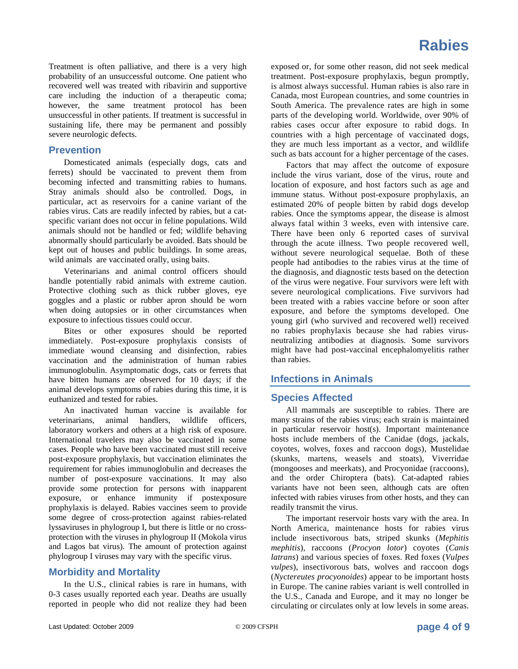Treatment is often palliative, and there is a very high probability of an unsuccessful outcome. One patient who recovered well was treated with ribavirin and supportive care including the induction of a therapeutic coma; however, the same treatment protocol has been unsuccessful in other patients. If treatment is successful in sustaining life, there may be permanent and possibly severe neurologic defects.

#### **Prevention**

Domesticated animals (especially dogs, cats and ferrets) should be vaccinated to prevent them from becoming infected and transmitting rabies to humans. Stray animals should also be controlled. Dogs, in particular, act as reservoirs for a canine variant of the rabies virus. Cats are readily infected by rabies, but a catspecific variant does not occur in feline populations. Wild animals should not be handled or fed; wildlife behaving abnormally should particularly be avoided. Bats should be kept out of houses and public buildings. In some areas, wild animals are vaccinated orally, using baits.

Veterinarians and animal control officers should handle potentially rabid animals with extreme caution. Protective clothing such as thick rubber gloves, eye goggles and a plastic or rubber apron should be worn when doing autopsies or in other circumstances when exposure to infectious tissues could occur.

Bites or other exposures should be reported immediately. Post-exposure prophylaxis consists of immediate wound cleansing and disinfection, rabies vaccination and the administration of human rabies immunoglobulin. Asymptomatic dogs, cats or ferrets that have bitten humans are observed for 10 days; if the animal develops symptoms of rabies during this time, it is euthanized and tested for rabies.

An inactivated human vaccine is available for veterinarians, animal handlers, wildlife officers, laboratory workers and others at a high risk of exposure. International travelers may also be vaccinated in some cases. People who have been vaccinated must still receive post-exposure prophylaxis, but vaccination eliminates the requirement for rabies immunoglobulin and decreases the number of post-exposure vaccinations. It may also provide some protection for persons with inapparent exposure, or enhance immunity if postexposure prophylaxis is delayed. Rabies vaccines seem to provide some degree of cross-protection against rabies-related lyssaviruses in phylogroup I, but there is little or no crossprotection with the viruses in phylogroup II (Mokola virus and Lagos bat virus). The amount of protection against phylogroup I viruses may vary with the specific virus.

#### **Morbidity and Mortality**

In the U.S., clinical rabies is rare in humans, with 0-3 cases usually reported each year. Deaths are usually reported in people who did not realize they had been

exposed or, for some other reason, did not seek medical treatment. Post-exposure prophylaxis, begun promptly, is almost always successful. Human rabies is also rare in Canada, most European countries, and some countries in South America. The prevalence rates are high in some parts of the developing world. Worldwide, over 90% of rabies cases occur after exposure to rabid dogs. In countries with a high percentage of vaccinated dogs, they are much less important as a vector, and wildlife such as bats account for a higher percentage of the cases.

Factors that may affect the outcome of exposure include the virus variant, dose of the virus, route and location of exposure, and host factors such as age and immune status. Without post-exposure prophylaxis, an estimated 20% of people bitten by rabid dogs develop rabies. Once the symptoms appear, the disease is almost always fatal within 3 weeks, even with intensive care. There have been only 6 reported cases of survival through the acute illness. Two people recovered well, without severe neurological sequelae. Both of these people had antibodies to the rabies virus at the time of the diagnosis, and diagnostic tests based on the detection of the virus were negative. Four survivors were left with severe neurological complications. Five survivors had been treated with a rabies vaccine before or soon after exposure, and before the symptoms developed. One young girl (who survived and recovered well) received no rabies prophylaxis because she had rabies virusneutralizing antibodies at diagnosis. Some survivors might have had post-vaccinal encephalomyelitis rather than rabies.

## **Infections in Animals**

## **Species Affected**

All mammals are susceptible to rabies. There are many strains of the rabies virus; each strain is maintained in particular reservoir host(s). Important maintenance hosts include members of the Canidae (dogs, jackals, coyotes, wolves, foxes and raccoon dogs), Mustelidae (skunks, martens, weasels and stoats), Viverridae (mongooses and meerkats), and Procyonidae (raccoons), and the order Chiroptera (bats). Cat-adapted rabies variants have not been seen, although cats are often infected with rabies viruses from other hosts, and they can readily transmit the virus.

The important reservoir hosts vary with the area. In North America, maintenance hosts for rabies virus include insectivorous bats, striped skunks (*Mephitis mephitis*), raccoons (*Procyon lotor*) coyotes (*Canis latrans*) and various species of foxes. Red foxes (*Vulpes vulpes*), insectivorous bats, wolves and raccoon dogs (*Nyctereutes procyonoides*) appear to be important hosts in Europe. The canine rabies variant is well controlled in the U.S., Canada and Europe, and it may no longer be circulating or circulates only at low levels in some areas.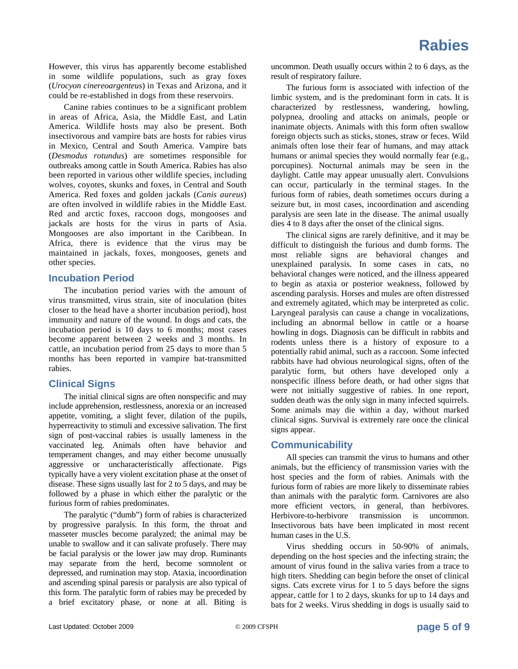However, this virus has apparently become established in some wildlife populations, such as gray foxes (*Urocyon cinereoargenteus*) in Texas and Arizona, and it could be re-established in dogs from these reservoirs.

Canine rabies continues to be a significant problem in areas of Africa, Asia, the Middle East, and Latin America. Wildlife hosts may also be present. Both insectivorous and vampire bats are hosts for rabies virus in Mexico, Central and South America. Vampire bats (*Desmodus rotundus*) are sometimes responsible for outbreaks among cattle in South America. Rabies has also been reported in various other wildlife species, including wolves, coyotes, skunks and foxes, in Central and South America. Red foxes and golden jackals (*Canis aureus*) are often involved in wildlife rabies in the Middle East. Red and arctic foxes, raccoon dogs, mongooses and jackals are hosts for the virus in parts of Asia. Mongooses are also important in the Caribbean. In Africa, there is evidence that the virus may be maintained in jackals, foxes, mongooses, genets and other species.

#### **Incubation Period**

The incubation period varies with the amount of virus transmitted, virus strain, site of inoculation (bites closer to the head have a shorter incubation period), host immunity and nature of the wound. In dogs and cats, the incubation period is 10 days to 6 months; most cases become apparent between 2 weeks and 3 months. In cattle, an incubation period from 25 days to more than 5 months has been reported in vampire bat-transmitted rabies.

#### **Clinical Signs**

The initial clinical signs are often nonspecific and may include apprehension, restlessness, anorexia or an increased appetite, vomiting, a slight fever, dilation of the pupils, hyperreactivity to stimuli and excessive salivation. The first sign of post-vaccinal rabies is usually lameness in the vaccinated leg. Animals often have behavior and temperament changes, and may either become unusually aggressive or uncharacteristically affectionate. Pigs typically have a very violent excitation phase at the onset of disease. These signs usually last for 2 to 5 days, and may be followed by a phase in which either the paralytic or the furious form of rabies predominates.

The paralytic ("dumb") form of rabies is characterized by progressive paralysis. In this form, the throat and masseter muscles become paralyzed; the animal may be unable to swallow and it can salivate profusely. There may be facial paralysis or the lower jaw may drop. Ruminants may separate from the herd, become somnolent or depressed, and rumination may stop. Ataxia, incoordination and ascending spinal paresis or paralysis are also typical of this form. The paralytic form of rabies may be preceded by a brief excitatory phase, or none at all. Biting is

uncommon. Death usually occurs within 2 to 6 days, as the result of respiratory failure.

The furious form is associated with infection of the limbic system, and is the predominant form in cats. It is characterized by restlessness, wandering, howling, polypnea, drooling and attacks on animals, people or inanimate objects. Animals with this form often swallow foreign objects such as sticks, stones, straw or feces. Wild animals often lose their fear of humans, and may attack humans or animal species they would normally fear (e.g., porcupines). Nocturnal animals may be seen in the daylight. Cattle may appear unusually alert. Convulsions can occur, particularly in the terminal stages. In the furious form of rabies, death sometimes occurs during a seizure but, in most cases, incoordination and ascending paralysis are seen late in the disease. The animal usually dies 4 to 8 days after the onset of the clinical signs.

The clinical signs are rarely definitive, and it may be difficult to distinguish the furious and dumb forms. The most reliable signs are behavioral changes and unexplained paralysis. In some cases in cats, no behavioral changes were noticed, and the illness appeared to begin as ataxia or posterior weakness, followed by ascending paralysis. Horses and mules are often distressed and extremely agitated, which may be interpreted as colic. Laryngeal paralysis can cause a change in vocalizations, including an abnormal bellow in cattle or a hoarse howling in dogs. Diagnosis can be difficult in rabbits and rodents unless there is a history of exposure to a potentially rabid animal, such as a raccoon. Some infected rabbits have had obvious neurological signs, often of the paralytic form, but others have developed only a nonspecific illness before death, or had other signs that were not initially suggestive of rabies. In one report, sudden death was the only sign in many infected squirrels. Some animals may die within a day, without marked clinical signs. Survival is extremely rare once the clinical signs appear.

#### **Communicability**

All species can transmit the virus to humans and other animals, but the efficiency of transmission varies with the host species and the form of rabies. Animals with the furious form of rabies are more likely to disseminate rabies than animals with the paralytic form. Carnivores are also more efficient vectors, in general, than herbivores. Herbivore-to-herbivore transmission is uncommon. Insectivorous bats have been implicated in most recent human cases in the U.S.

Virus shedding occurs in 50-90% of animals, depending on the host species and the infecting strain; the amount of virus found in the saliva varies from a trace to high titers. Shedding can begin before the onset of clinical signs. Cats excrete virus for 1 to 5 days before the signs appear, cattle for 1 to 2 days, skunks for up to 14 days and bats for 2 weeks. Virus shedding in dogs is usually said to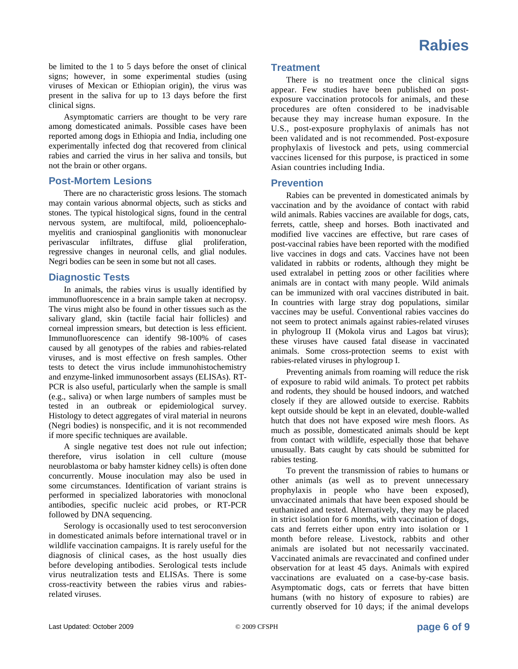be limited to the 1 to 5 days before the onset of clinical signs; however, in some experimental studies (using viruses of Mexican or Ethiopian origin), the virus was present in the saliva for up to 13 days before the first clinical signs.

Asymptomatic carriers are thought to be very rare among domesticated animals. Possible cases have been reported among dogs in Ethiopia and India, including one experimentally infected dog that recovered from clinical rabies and carried the virus in her saliva and tonsils, but not the brain or other organs.

#### **Post-Mortem Lesions**

There are no characteristic gross lesions. The stomach may contain various abnormal objects, such as sticks and stones. The typical histological signs, found in the central nervous system, are multifocal, mild, polioencephalomyelitis and craniospinal ganglionitis with mononuclear perivascular infiltrates, diffuse glial proliferation, regressive changes in neuronal cells, and glial nodules. Negri bodies can be seen in some but not all cases.

#### **Diagnostic Tests**

In animals, the rabies virus is usually identified by immunofluorescence in a brain sample taken at necropsy. The virus might also be found in other tissues such as the salivary gland, skin (tactile facial hair follicles) and corneal impression smears, but detection is less efficient. Immunofluorescence can identify 98-100% of cases caused by all genotypes of the rabies and rabies-related viruses, and is most effective on fresh samples. Other tests to detect the virus include immunohistochemistry and enzyme-linked immunosorbent assays (ELISAs). RT-PCR is also useful, particularly when the sample is small (e.g., saliva) or when large numbers of samples must be tested in an outbreak or epidemiological survey. Histology to detect aggregates of viral material in neurons (Negri bodies) is nonspecific, and it is not recommended if more specific techniques are available.

A single negative test does not rule out infection; therefore, virus isolation in cell culture (mouse neuroblastoma or baby hamster kidney cells) is often done concurrently. Mouse inoculation may also be used in some circumstances. Identification of variant strains is performed in specialized laboratories with monoclonal antibodies, specific nucleic acid probes, or RT-PCR followed by DNA sequencing.

Serology is occasionally used to test seroconversion in domesticated animals before international travel or in wildlife vaccination campaigns. It is rarely useful for the diagnosis of clinical cases, as the host usually dies before developing antibodies. Serological tests include virus neutralization tests and ELISAs. There is some cross-reactivity between the rabies virus and rabiesrelated viruses.

#### **Treatment**

There is no treatment once the clinical signs appear. Few studies have been published on postexposure vaccination protocols for animals, and these procedures are often considered to be inadvisable because they may increase human exposure. In the U.S., post-exposure prophylaxis of animals has not been validated and is not recommended. Post-exposure prophylaxis of livestock and pets, using commercial vaccines licensed for this purpose, is practiced in some Asian countries including India.

#### **Prevention**

Rabies can be prevented in domesticated animals by vaccination and by the avoidance of contact with rabid wild animals. Rabies vaccines are available for dogs, cats, ferrets, cattle, sheep and horses. Both inactivated and modified live vaccines are effective, but rare cases of post-vaccinal rabies have been reported with the modified live vaccines in dogs and cats. Vaccines have not been validated in rabbits or rodents, although they might be used extralabel in petting zoos or other facilities where animals are in contact with many people. Wild animals can be immunized with oral vaccines distributed in bait. In countries with large stray dog populations, similar vaccines may be useful. Conventional rabies vaccines do not seem to protect animals against rabies-related viruses in phylogroup II (Mokola virus and Lagos bat virus); these viruses have caused fatal disease in vaccinated animals. Some cross-protection seems to exist with rabies-related viruses in phylogroup I.

Preventing animals from roaming will reduce the risk of exposure to rabid wild animals. To protect pet rabbits and rodents, they should be housed indoors, and watched closely if they are allowed outside to exercise. Rabbits kept outside should be kept in an elevated, double-walled hutch that does not have exposed wire mesh floors. As much as possible, domesticated animals should be kept from contact with wildlife, especially those that behave unusually. Bats caught by cats should be submitted for rabies testing.

To prevent the transmission of rabies to humans or other animals (as well as to prevent unnecessary prophylaxis in people who have been exposed), unvaccinated animals that have been exposed should be euthanized and tested. Alternatively, they may be placed in strict isolation for 6 months, with vaccination of dogs, cats and ferrets either upon entry into isolation or 1 month before release. Livestock, rabbits and other animals are isolated but not necessarily vaccinated. Vaccinated animals are revaccinated and confined under observation for at least 45 days. Animals with expired vaccinations are evaluated on a case-by-case basis. Asymptomatic dogs, cats or ferrets that have bitten humans (with no history of exposure to rabies) are currently observed for 10 days; if the animal develops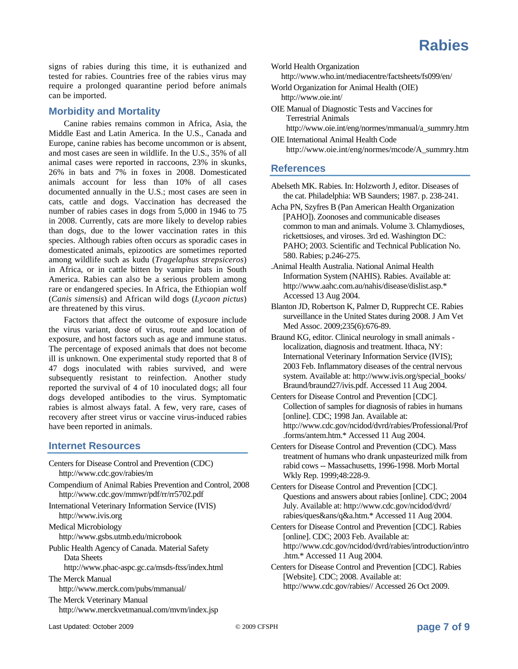

signs of rabies during this time, it is euthanized and tested for rabies. Countries free of the rabies virus may require a prolonged quarantine period before animals can be imported.

#### **Morbidity and Mortality**

Canine rabies remains common in Africa, Asia, the Middle East and Latin America. In the U.S., Canada and Europe, canine rabies has become uncommon or is absent, and most cases are seen in wildlife. In the U.S., 35% of all animal cases were reported in raccoons, 23% in skunks, 26% in bats and 7% in foxes in 2008. Domesticated animals account for less than 10% of all cases documented annually in the U.S.; most cases are seen in cats, cattle and dogs. Vaccination has decreased the number of rabies cases in dogs from 5,000 in 1946 to 75 in 2008. Currently, cats are more likely to develop rabies than dogs, due to the lower vaccination rates in this species. Although rabies often occurs as sporadic cases in domesticated animals, epizootics are sometimes reported among wildlife such as kudu (*Tragelaphus strepsiceros*) in Africa, or in cattle bitten by vampire bats in South America. Rabies can also be a serious problem among rare or endangered species. In Africa, the Ethiopian wolf (*Canis simensis*) and African wild dogs (*Lycaon pictus*) are threatened by this virus.

Factors that affect the outcome of exposure include the virus variant, dose of virus, route and location of exposure, and host factors such as age and immune status. The percentage of exposed animals that does not become ill is unknown. One experimental study reported that 8 of 47 dogs inoculated with rabies survived, and were subsequently resistant to reinfection. Another study reported the survival of 4 of 10 inoculated dogs; all four dogs developed antibodies to the virus. Symptomatic rabies is almost always fatal. A few, very rare, cases of recovery after street virus or vaccine virus-induced rabies have been reported in animals.

#### **Internet Resources**

Centers for Disease Control and Prevention (CDC) http://www.cdc.gov/rabies/m Compendium of Animal Rabies Prevention and Control, 2008 http://www.cdc.gov/mmwr/pdf/rr/rr5702.pdf International Veterinary Information Service (IVIS) http://www.ivis.org Medical Microbiology http://www.gsbs.utmb.edu/microbook Public Health Agency of Canada. Material Safety Data Sheets http://www.phac-aspc.gc.ca/msds-ftss/index.html The Merck Manual http://www.merck.com/pubs/mmanual/ The Merck Veterinary Manual http://www.merckvetmanual.com/mvm/index.jsp

World Health Organization

http://www.who.int/mediacentre/factsheets/fs099/en/

- World Organization for Animal Health (OIE) http://www.oie.int/
- OIE Manual of Diagnostic Tests and Vaccines for Terrestrial Animals

http://www.oie.int/eng/normes/mmanual/a\_summry.htm OIE International Animal Health Code

http://www.oie.int/eng/normes/mcode/A\_summry.htm

#### **References**

- Abelseth MK. Rabies. In: Holzworth J, editor. Diseases of the cat. Philadelphia: WB Saunders; 1987. p. 238-241.
- Acha PN, Szyfres B (Pan American Health Organization [PAHO]). Zoonoses and communicable diseases common to man and animals. Volume 3. Chlamydioses, rickettsioses, and viroses. 3rd ed. Washington DC: PAHO; 2003. Scientific and Technical Publication No. 580. Rabies; p.246-275.
- .Animal Health Australia. National Animal Health Information System (NAHIS). Rabies. Available at: http://www.aahc.com.au/nahis/disease/dislist.asp.\* Accessed 13 Aug 2004.
- Blanton JD, Robertson K, Palmer D, Rupprecht CE. Rabies surveillance in the United States during 2008. J Am Vet Med Assoc. 2009;235(6):676-89.
- Braund KG, editor. Clinical neurology in small animals localization, diagnosis and treatment. Ithaca, NY: International Veterinary Information Service (IVIS); 2003 Feb. Inflammatory diseases of the central nervous system. Available at: http://www.ivis.org/special\_books/ Braund/braund27/ivis.pdf. Accessed 11 Aug 2004.
- Centers for Disease Control and Prevention [CDC]. Collection of samples for diagnosis of rabies in humans [online]. CDC; 1998 Jan. Available at: http://www.cdc.gov/ncidod/dvrd/rabies/Professional/Prof .forms/antem.htm.\* Accessed 11 Aug 2004.
- Centers for Disease Control and Prevention (CDC). Mass treatment of humans who drank unpasteurized milk from rabid cows -- Massachusetts, 1996-1998. Morb Mortal Wkly Rep. 1999;48:228-9.

Centers for Disease Control and Prevention [CDC]. Questions and answers about rabies [online]. CDC; 2004 July. Available at: http://www.cdc.gov/ncidod/dvrd/ rabies/ques&ans/q&a.htm.\* Accessed 11 Aug 2004.

- Centers for Disease Control and Prevention [CDC]. Rabies [online]. CDC; 2003 Feb. Available at: http://www.cdc.gov/ncidod/dvrd/rabies/introduction/intro .htm.\* Accessed 11 Aug 2004.
- Centers for Disease Control and Prevention [CDC]. Rabies [Website]. CDC; 2008. Available at: http://www.cdc.gov/rabies// Accessed 26 Oct 2009.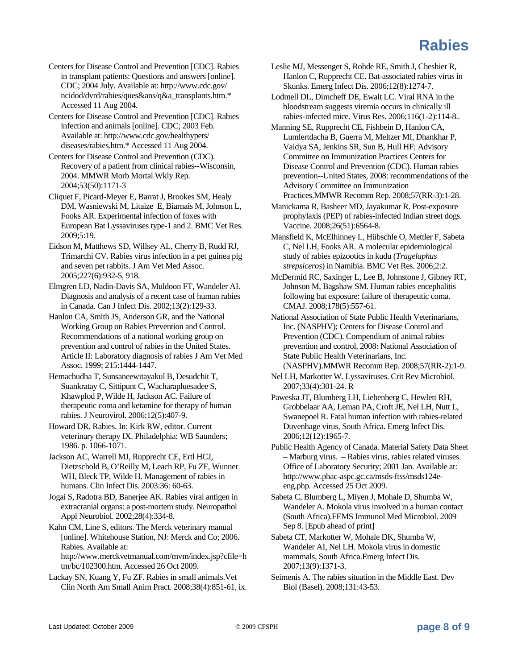- Centers for Disease Control and Prevention [CDC]. Rabies in transplant patients: Questions and answers [online]. CDC; 2004 July. Available at: http://www.cdc.gov/ ncidod/dvrd/rabies/ques&ans/q&a\_transplants.htm.\* Accessed 11 Aug 2004.
- Centers for Disease Control and Prevention [CDC]. Rabies infection and animals [online]. CDC; 2003 Feb. Available at: http://www.cdc.gov/healthypets/ diseases/rabies.htm.\* Accessed 11 Aug 2004.
- Centers for Disease Control and Prevention (CDC). Recovery of a patient from clinical rabies--Wisconsin, 2004. MMWR Morb Mortal Wkly Rep. 2004;53(50):1171-3
- Cliquet F, Picard-Meyer E, Barrat J, Brookes SM, Healy DM, Wasniewski M, Litaize E, Biarnais M, Johnson L, Fooks AR. Experimental infection of foxes with European Bat Lyssaviruses type-1 and 2. BMC Vet Res. 2009;5:19.
- Eidson M, Matthews SD, Willsey AL, Cherry B, Rudd RJ, Trimarchi CV. Rabies virus infection in a pet guinea pig and seven pet rabbits. J Am Vet Med Assoc. 2005;227(6):932-5, 918.
- Elmgren LD, Nadin-Davis SA, Muldoon FT, Wandeler AI. Diagnosis and analysis of a recent case of human rabies in Canada. Can J Infect Dis. 2002;13(2):129-33.
- Hanlon CA, Smith JS, Anderson GR, and the National Working Group on Rabies Prevention and Control. Recommendations of a national working group on prevention and control of rabies in the United States. Article II: Laboratory diagnosis of rabies J Am Vet Med Assoc. 1999; 215:1444-1447.
- Hemachudha T, Sunsaneewitayakul B, Desudchit T, Suankratay C, Sittipunt C, Wacharapluesadee S, Khawplod P, Wilde H, Jackson AC. Failure of therapeutic coma and ketamine for therapy of human rabies. J Neurovirol. 2006;12(5):407-9.
- Howard DR. Rabies. In: Kirk RW, editor. Current veterinary therapy IX. Philadelphia: WB Saunders; 1986. p. 1066-1071.
- Jackson AC, Warrell MJ, Rupprecht CE, Ertl HCJ, Dietzschold B, O'Reilly M, Leach RP, Fu ZF, Wunner WH, Bleck TP, Wilde H. Management of rabies in humans. Clin Infect Dis. 2003:36: 60-63.
- Jogai S, Radotra BD, Banerjee AK. Rabies viral antigen in extracranial organs: a post-mortem study. Neuropathol Appl Neurobiol. 2002;28(4):334-8.
- Kahn CM, Line S, editors. The Merck veterinary manual [online]. Whitehouse Station, NJ: Merck and Co; 2006. Rabies. Available at:
	- http://www.merckvetmanual.com/mvm/index.jsp?cfile=h tm/bc/102300.htm. Accessed 26 Oct 2009.
- Lackay SN, Kuang Y, Fu ZF. Rabies in small animals.Vet Clin North Am Small Anim Pract. 2008;38(4):851-61, ix.
- Leslie MJ, Messenger S, Rohde RE, Smith J, Cheshier R, Hanlon C, Rupprecht CE. Bat-associated rabies virus in Skunks. Emerg Infect Dis. 2006;12(8):1274-7.
- Lodmell DL, Dimcheff DE, Ewalt LC. Viral RNA in the bloodstream suggests viremia occurs in clinically ill rabies-infected mice. Virus Res. 2006;116(1-2):114-8..
- Manning SE, Rupprecht CE, Fishbein D, Hanlon CA, Lumlertdacha B, Guerra M, Meltzer MI, Dhankhar P, Vaidya SA, Jenkins SR, Sun B, Hull HF; Advisory Committee on Immunization Practices Centers for Disease Control and Prevention (CDC). Human rabies prevention--United States, 2008: recommendations of the Advisory Committee on Immunization Practices.MMWR Recomm Rep. 2008;57(RR-3):1-28.
- Manickama R, Basheer MD, Jayakumar R. Post-exposure prophylaxis (PEP) of rabies-infected Indian street dogs. Vaccine. 2008;26(51):6564-8.
- Mansfield K, McElhinney L, Hübschle O, Mettler F, Sabeta C, Nel LH, Fooks AR. A molecular epidemiological study of rabies epizootics in kudu (*Tragelaphus strepsiceros*) in Namibia. BMC Vet Res. 2006;2:2.
- McDermid RC, Saxinger L, Lee B, Johnstone J, Gibney RT, Johnson M, Bagshaw SM. Human rabies encephalitis following bat exposure: failure of therapeutic coma. CMAJ. 2008;178(5):557-61.
- National Association of State Public Health Veterinarians, Inc. (NASPHV); Centers for Disease Control and Prevention (CDC). Compendium of animal rabies prevention and control, 2008: National Association of State Public Health Veterinarians, Inc. (NASPHV).MMWR Recomm Rep. 2008;57(RR-2):1-9.
- Nel LH, Markotter W. Lyssaviruses. Crit Rev Microbiol. 2007;33(4):301-24. R
- Paweska JT, Blumberg LH, Liebenberg C, Hewlett RH, Grobbelaar AA, Leman PA, Croft JE, Nel LH, Nutt L, Swanepoel R. Fatal human infection with rabies-related Duvenhage virus, South Africa. Emerg Infect Dis. 2006;12(12):1965-7.
- Public Health Agency of Canada. Material Safety Data Sheet – Marburg virus. – Rabies virus, rabies related viruses. Office of Laboratory Security; 2001 Jan. Available at: http://www.phac-aspc.gc.ca/msds-ftss/msds124eeng.php. Accessed 25 Oct 2009.
- Sabeta C, Blumberg L, Miyen J, Mohale D, Shumba W, Wandeler A. Mokola virus involved in a human contact (South Africa).FEMS Immunol Med Microbiol. 2009 Sep 8. [Epub ahead of print]
- Sabeta CT, Markotter W, Mohale DK, Shumba W, Wandeler AI, Nel LH. Mokola virus in domestic mammals, South Africa.Emerg Infect Dis. 2007;13(9):1371-3.
- Seimenis A. The rabies situation in the Middle East. Dev Biol (Basel). 2008;131:43-53.